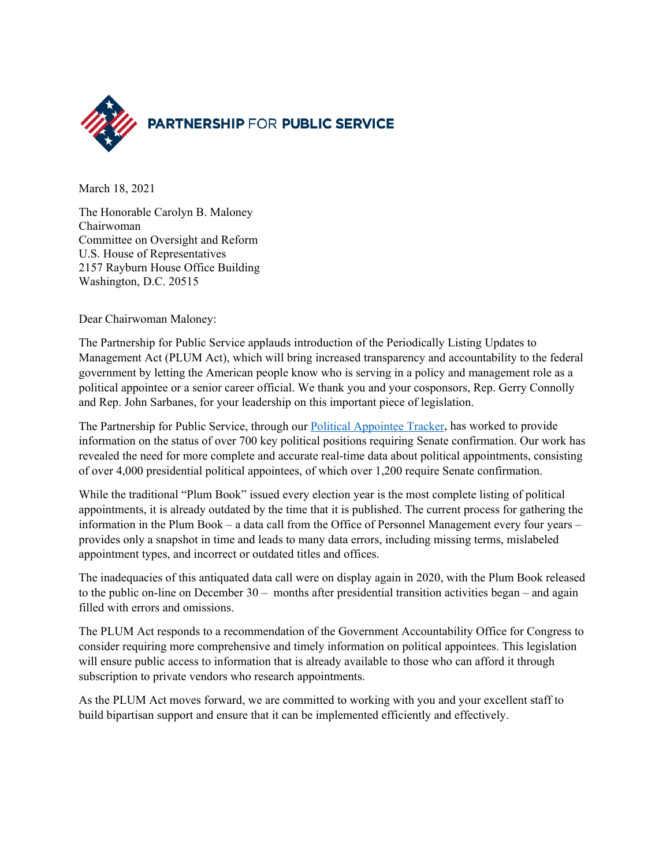

March 18, 2021

The Honorable Carolyn B. Maloney Chairwoman Committee on Oversight and Reform U.S. House of Representatives 2157 Rayburn House Office Building Washington, D.C. 20515

Dear Chairwoman Maloney:

The Partnership for Public Service applauds introduction of the Periodically Listing Updates to Management Act (PLUM Act), which will bring increased transparency and accountability to the federal government by letting the American people know who is serving in a policy and management role as a political appointee or a senior career official. We thank you and your cosponsors, Rep. Gerry Connolly and Rep. John Sarbanes, for your leadership on this important piece of legislation.

The Partnership for Public Service, through our [Political Appointee Tracker,](https://ourpublicservice.org/political-appointee-tracker/) has worked to provide information on the status of over 700 key political positions requiring Senate confirmation. Our work has revealed the need for more complete and accurate real-time data about political appointments, consisting of over 4,000 presidential political appointees, of which over 1,200 require Senate confirmation.

While the traditional "Plum Book" issued every election year is the most complete listing of political appointments, it is already outdated by the time that it is published. The current process for gathering the information in the Plum Book – a data call from the Office of Personnel Management every four years – provides only a snapshot in time and leads to many data errors, including missing terms, mislabeled appointment types, and incorrect or outdated titles and offices.

The inadequacies of this antiquated data call were on display again in 2020, with the Plum Book released to the public on-line on December 30 – months after presidential transition activities began – and again filled with errors and omissions.

The PLUM Act responds to a recommendation of the Government Accountability Office for Congress to consider requiring more comprehensive and timely information on political appointees. This legislation will ensure public access to information that is already available to those who can afford it through subscription to private vendors who research appointments.

As the PLUM Act moves forward, we are committed to working with you and your excellent staff to build bipartisan support and ensure that it can be implemented efficiently and effectively.